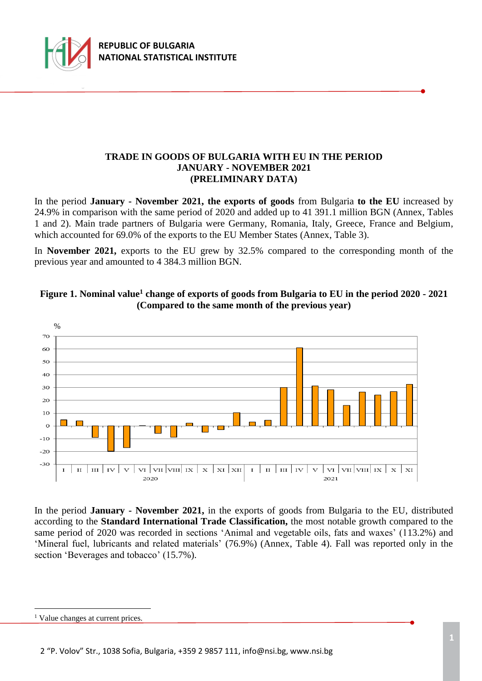

### **TRADE IN GOODS OF BULGARIA WITH EU IN THE PERIOD JANUARY - NOVEMBER 2021 (PRELIMINARY DATA)**

In the period **January - November 2021, the exports of goods** from Bulgaria **to the EU** increased by 24.9% in comparison with the same period of 2020 and added up to 41 391.1 million BGN (Annex, Tables 1 and 2). Main trade partners of Bulgaria were Germany, Romania, Italy, Greece, France and Belgium, which accounted for 69.0% of the exports to the EU Member States (Annex, Table 3).

In **November 2021,** exports to the EU grew by 32.5% compared to the corresponding month of the previous year and amounted to 4 384.3 million BGN.





In the period **January - November 2021,** in the exports of goods from Bulgaria to the EU, distributed according to the **Standard International Trade Classification,** the most notable growth compared to the same period of 2020 was recorded in sections 'Animal and vegetable oils, fats and waxes' (113.2%) and 'Mineral fuel, lubricants and related materials' (76.9%) (Annex, Table 4). Fall was reported only in the section 'Beverages and tobacco' (15.7%).

i<br>L

<sup>&</sup>lt;sup>1</sup> Value changes at current prices.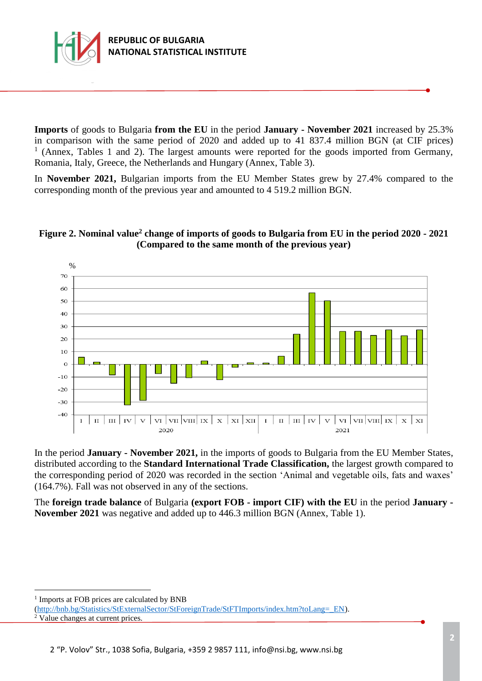

**Imports** of goods to Bulgaria **from the EU** in the period **January - November 2021** increased by 25.3% in comparison with the same period of 2020 and added up to 41 837.4 million BGN (at CIF prices) <sup>1</sup> (Annex, Tables 1 and 2). The largest amounts were reported for the goods imported from Germany, Romania, Italy, Greece, the Netherlands and Hungary (Annex, Table 3).

In **November 2021,** Bulgarian imports from the EU Member States grew by 27.4% compared to the corresponding month of the previous year and amounted to 4 519.2 million BGN.

# **Figure 2. Nominal value<sup>2</sup> change of imports of goods to Bulgaria from EU in the period 2020 - 2021 (Compared to the same month of the previous year)**



In the period **January - November 2021,** in the imports of goods to Bulgaria from the EU Member States, distributed according to the **Standard International Trade Classification,** the largest growth compared to the corresponding period of 2020 was recorded in the section 'Animal and vegetable oils, fats and waxes' (164.7%). Fall was not observed in any of the sections.

The **foreign trade balance** of Bulgaria **(export FOB - import CIF) with the EU** in the period **January - November 2021** was negative and added up to 446.3 million BGN (Annex, Table 1).

<sup>1</sup> Imports at FOB prices are calculated by BNB

i<br>L

[<sup>\(</sup>http://bnb.bg/Statistics/StExternalSector/StForeignTrade/StFTImports/index.htm?toLang=\\_EN\)](http://bnb.bg/Statistics/StExternalSector/StForeignTrade/StFTImports/index.htm?toLang=_EN). <sup>2</sup> Value changes at current prices.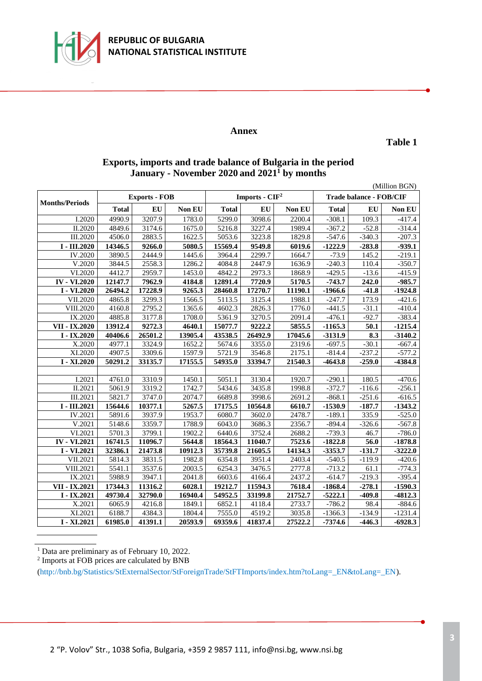

#### **Annex**

**Table 1**

| Exports, imports and trade balance of Bulgaria in the period |
|--------------------------------------------------------------|
| January - November 2020 and 2021 <sup>1</sup> by months      |

| (Million BGN)         |              |                      |         |                  |           |         |                                |                    |           |
|-----------------------|--------------|----------------------|---------|------------------|-----------|---------|--------------------------------|--------------------|-----------|
| <b>Months/Periods</b> |              | <b>Exports - FOB</b> |         | Imports - $CIF2$ |           |         | <b>Trade balance - FOB/CIF</b> |                    |           |
|                       | <b>Total</b> | EU                   | Non EU  | <b>Total</b>     | <b>EU</b> | Non EU  | <b>Total</b>                   | EU                 | Non EU    |
| I.2020                | 4990.9       | 3207.9               | 1783.0  | 5299.0           | 3098.6    | 2200.4  | $-308.1$                       | 109.3              | $-417.4$  |
| II.2020               | 4849.6       | 3174.6               | 1675.0  | 5216.8           | 3227.4    | 1989.4  | $-367.2$                       | $-52.8$            | $-314.4$  |
| III.2020              | 4506.0       | 2883.5               | 1622.5  | 5053.6           | 3223.8    | 1829.8  | $-547.6$                       | $-340.3$           | $-207.3$  |
| I - III.2020          | 14346.5      | 9266.0               | 5080.5  | 15569.4          | 9549.8    | 6019.6  | $-1222.9$                      | $-283.8$           | $-939.1$  |
| IV.2020               | 3890.5       | 2444.9               | 1445.6  | 3964.4           | 2299.7    | 1664.7  | $-73.9$                        | 145.2              | $-219.1$  |
| V.2020                | 3844.5       | 2558.3               | 1286.2  | 4084.8           | 2447.9    | 1636.9  | $-240.3$                       | 110.4              | $-350.7$  |
| VI.2020               | 4412.7       | 2959.7               | 1453.0  | 4842.2           | 2973.3    | 1868.9  | $-429.5$                       | $-13.6$            | $-415.9$  |
| <b>IV</b> - VI.2020   | 12147.7      | 7962.9               | 4184.8  | 12891.4          | 7720.9    | 5170.5  | $-743.7$                       | 242.0              | $-985.7$  |
| I - VI.2020           | 26494.2      | 17228.9              | 9265.3  | 28460.8          | 17270.7   | 11190.1 | $-1966.6$                      | $-41.\overline{8}$ | $-1924.8$ |
| VII.2020              | 4865.8       | 3299.3               | 1566.5  | 5113.5           | 3125.4    | 1988.1  | $-247.7$                       | 173.9              | $-421.6$  |
| VIII.2020             | 4160.8       | 2795.2               | 1365.6  | 4602.3           | 2826.3    | 1776.0  | $-441.5$                       | $-31.1$            | $-410.4$  |
| IX.2020               | 4885.8       | 3177.8               | 1708.0  | 5361.9           | 3270.5    | 2091.4  | $-476.1$                       | $-92.7$            | $-383.4$  |
| VII - IX.2020         | 13912.4      | 9272.3               | 4640.1  | 15077.7          | 9222.2    | 5855.5  | $-1165.3$                      | 50.1               | $-1215.4$ |
| $I - IX.2020$         | 40406.6      | 26501.2              | 13905.4 | 43538.5          | 26492.9   | 17045.6 | $-3131.9$                      | 8.3                | $-3140.2$ |
| X.2020                | 4977.1       | 3324.9               | 1652.2  | 5674.6           | 3355.0    | 2319.6  | $-697.5$                       | $-30.1$            | $-667.4$  |
| XI.2020               | 4907.5       | 3309.6               | 1597.9  | 5721.9           | 3546.8    | 2175.1  | $-814.4$                       | $-237.2$           | $-577.2$  |
| I - XI.2020           | 50291.2      | 33135.7              | 17155.5 | 54935.0          | 33394.7   | 21540.3 | $-4643.8$                      | $-259.0$           | -4384.8   |
|                       |              |                      |         |                  |           |         |                                |                    |           |
| I.2021                | 4761.0       | 3310.9               | 1450.1  | 5051.1           | 3130.4    | 1920.7  | $-290.1$                       | 180.5              | $-470.6$  |
| II.2021               | 5061.9       | 3319.2               | 1742.7  | 5434.6           | 3435.8    | 1998.8  | $-372.7$                       | $-116.6$           | $-256.1$  |
| III.2021              | 5821.7       | 3747.0               | 2074.7  | 6689.8           | 3998.6    | 2691.2  | $-868.1$                       | $-251.6$           | $-616.5$  |
| $I - III.2021$        | 15644.6      | 10377.1              | 5267.5  | 17175.5          | 10564.8   | 6610.7  | $-1530.9$                      | $-187.7$           | $-1343.2$ |
| $\overline{IV}.2021$  | 5891.6       | 3937.9               | 1953.7  | 6080.7           | 3602.0    | 2478.7  | $-189.1$                       | 335.9              | $-525.0$  |
| V.2021                | 5148.6       | 3359.7               | 1788.9  | 6043.0           | 3686.3    | 2356.7  | $-894.4$                       | $-326.6$           | $-567.8$  |
| VI.2021               | 5701.3       | 3799.1               | 1902.2  | 6440.6           | 3752.4    | 2688.2  | $-739.3$                       | 46.7               | $-786.0$  |
| <b>IV - VI.2021</b>   | 16741.5      | 11096.7              | 5644.8  | 18564.3          | 11040.7   | 7523.6  | $-1822.8$                      | 56.0               | $-1878.8$ |
| I - VI.2021           | 32386.1      | 21473.8              | 10912.3 | 35739.8          | 21605.5   | 14134.3 | $-3353.7$                      | $-131.7$           | $-3222.0$ |
| VII.2021              | 5814.3       | 3831.5               | 1982.8  | 6354.8           | 3951.4    | 2403.4  | $-540.5$                       | $-119.9$           | $-420.6$  |
| VIII.2021             | 5541.1       | 3537.6               | 2003.5  | 6254.3           | 3476.5    | 2777.8  | $-713.2$                       | 61.1               | $-774.3$  |
| IX.2021               | 5988.9       | 3947.1               | 2041.8  | 6603.6           | 4166.4    | 2437.2  | $-614.7$                       | $-219.3$           | $-395.4$  |
| VII - IX.2021         | 17344.3      | 11316.2              | 6028.1  | 19212.7          | 11594.3   | 7618.4  | $-1868.4$                      | $-278.1$           | $-1590.3$ |
| $I - IX.2021$         | 49730.4      | 32790.0              | 16940.4 | 54952.5          | 33199.8   | 21752.7 | $-5222.1$                      | $-409.8$           | $-4812.3$ |
| X.2021                | 6065.9       | 4216.8               | 1849.1  | 6852.1           | 4118.4    | 2733.7  | $-786.2$                       | 98.4               | $-884.6$  |
| XI.2021               | 6188.7       | 4384.3               | 1804.4  | 7555.0           | 4519.2    | 3035.8  | $-1366.3$                      | $-134.9$           | $-1231.4$ |
| $I - XI.2021$         | 61985.0      | 41391.1              | 20593.9 | 69359.6          | 41837.4   | 27522.2 | $-7374.6$                      | $-446.3$           | $-6928.3$ |

<sup>&</sup>lt;sup>1</sup> Data are preliminary as of February 10, 2022.

<sup>&</sup>lt;sup>2</sup> Imports at FOB prices are calculated by BNB

<sup>(</sup>http://bnb.bg/Statistics/StExternalSector/StForeignTrade/StFTImports/index.htm?toLang=\_EN&toLang=\_EN).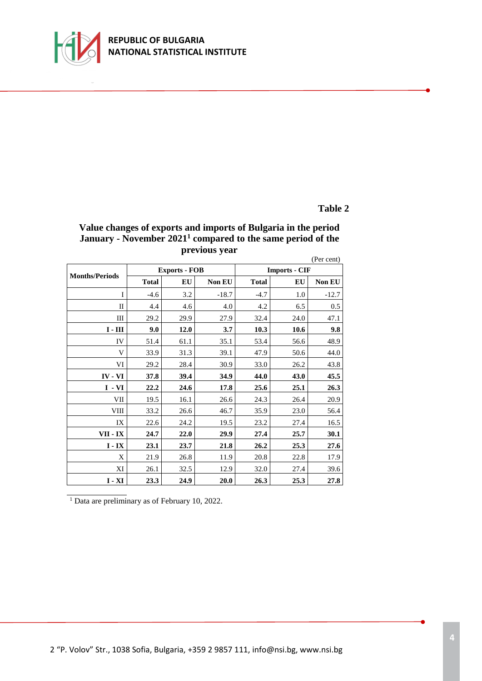

### **REPUBLIC OF BULGARIA NATIONAL STATISTICAL INSTITUTE**

### **Table 2**

# **Value changes of exports and imports of Bulgaria in the period January - November 2021<sup>1</sup> compared to the same period of the previous year**

|                       |              |                      |               |                      |      | (Per cent) |  |  |
|-----------------------|--------------|----------------------|---------------|----------------------|------|------------|--|--|
|                       |              | <b>Exports - FOB</b> |               | <b>Imports - CIF</b> |      |            |  |  |
| <b>Months/Periods</b> | <b>Total</b> | EU                   | <b>Non EU</b> | <b>Total</b>         | EU   | Non EU     |  |  |
| I                     | $-4.6$       | 3.2                  | $-18.7$       | $-4.7$               | 1.0  | $-12.7$    |  |  |
| П                     | 4.4          | 4.6                  | 4.0           | 4.2                  | 6.5  | 0.5        |  |  |
| Ш                     | 29.2         | 29.9                 | 27.9          | 32.4                 | 24.0 | 47.1       |  |  |
| $I - III$             | 9.0          | 12.0                 | 3.7           | 10.3                 | 10.6 | 9.8        |  |  |
| IV                    | 51.4         | 61.1                 | 35.1          | 53.4                 | 56.6 | 48.9       |  |  |
| V                     | 33.9         | 31.3                 | 39.1          | 47.9                 | 50.6 | 44.0       |  |  |
| VI                    | 29.2         | 28.4                 | 30.9          | 33.0                 | 26.2 | 43.8       |  |  |
| $IV - VI$             | 37.8         | 39.4                 | 34.9          | 44.0                 | 43.0 | 45.5       |  |  |
| $I - VI$              | 22.2         | 24.6                 | 17.8          | 25.6                 | 25.1 | 26.3       |  |  |
| VII                   | 19.5         | 16.1                 | 26.6          | 24.3                 | 26.4 | 20.9       |  |  |
| VIII                  | 33.2         | 26.6                 | 46.7          | 35.9                 | 23.0 | 56.4       |  |  |
| IX                    | 22.6         | 24.2                 | 19.5          | 23.2                 | 27.4 | 16.5       |  |  |
| VII - IX              | 24.7         | 22.0                 | 29.9          | 27.4                 | 25.7 | 30.1       |  |  |
| $I - IX$              | 23.1         | 23.7                 | 21.8          | 26.2                 | 25.3 | 27.6       |  |  |
| X                     | 21.9         | 26.8                 | 11.9          | 20.8                 | 22.8 | 17.9       |  |  |
| XI                    | 26.1         | 32.5                 | 12.9          | 32.0                 | 27.4 | 39.6       |  |  |
| $I - XI$              | 23.3         | 24.9                 | <b>20.0</b>   | 26.3                 | 25.3 | 27.8       |  |  |

 $\frac{1}{1}$  Data are preliminary as of February 10, 2022.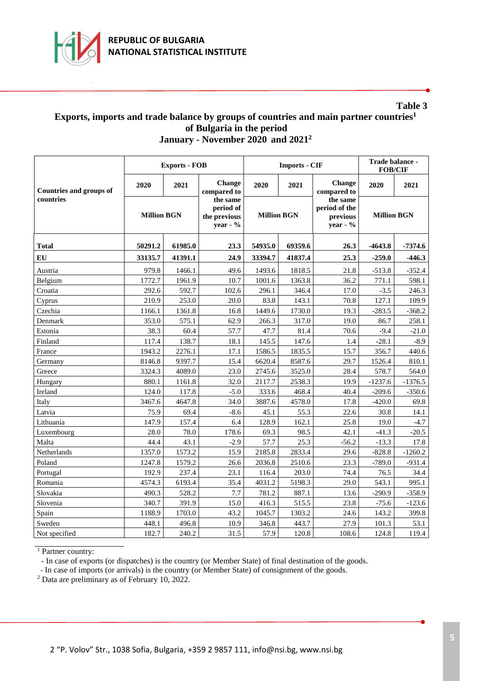

### **Table 3 Exports, imports and trade balance by groups of countries and main partner countries<sup>1</sup> of Bulgaria in the period January - November 2020 and 2021<sup>2</sup>**

|                                |                    | <b>Exports - FOB</b> |                                                   |                    | <b>Imports - CIF</b> | Trade balance -<br><b>FOB/CIF</b>                    |                        |           |
|--------------------------------|--------------------|----------------------|---------------------------------------------------|--------------------|----------------------|------------------------------------------------------|------------------------|-----------|
| <b>Countries and groups of</b> | 2020               | 2021                 | Change<br>compared to                             | 2020               | 2021                 | Change<br>compared to                                | 2020                   | 2021      |
| countries                      | <b>Million BGN</b> |                      | the same<br>period of<br>the previous<br>year - % | <b>Million BGN</b> |                      | the same<br>period of the<br>previous<br>year - $\%$ | <b>Million BGN</b>     |           |
| <b>Total</b>                   | 50291.2<br>61985.0 |                      | 23.3                                              | 54935.0<br>69359.6 |                      | 26.3                                                 | $-7374.6$<br>$-4643.8$ |           |
| EU                             | 33135.7            | 41391.1              | 24.9                                              | 33394.7            | 41837.4              | 25.3                                                 | $-259.0$               | $-446.3$  |
| Austria                        | 979.8              | 1466.1               | 49.6                                              | 1493.6             | 1818.5               | 21.8                                                 | $-513.8$               | $-352.4$  |
| Belgium                        | 1772.7             | 1961.9               | 10.7                                              | 1001.6             | 1363.8               | 36.2                                                 | 771.1                  | 598.1     |
| Croatia                        | 292.6              | 592.7                | 102.6                                             | 296.1              | 346.4                | 17.0                                                 | $-3.5$                 | 246.3     |
| Cyprus                         | 210.9              | 253.0                | 20.0                                              | 83.8               | 143.1                | 70.8                                                 | 127.1                  | 109.9     |
| Czechia                        | 1166.1             | 1361.8               | 16.8                                              | 1449.6             | 1730.0               | 19.3                                                 | $-283.5$               | $-368.2$  |
| Denmark                        | 353.0              | 575.1                | 62.9                                              | 266.3              | 317.0                | 19.0                                                 | 86.7                   | 258.1     |
| Estonia                        | 38.3               | 60.4                 | 57.7                                              | 47.7               | 81.4                 | 70.6                                                 | $-9.4$                 | $-21.0$   |
| Finland                        | 117.4              | 138.7                | 18.1                                              | 145.5              | 147.6                | 1.4                                                  | $-28.1$                | $-8.9$    |
| France                         | 1943.2             | 2276.1               | 17.1                                              | 1586.5             | 1835.5               | 15.7                                                 | 356.7                  | 440.6     |
| Germany                        | 8146.8             | 9397.7               | 15.4                                              | 6620.4             | 8587.6               | 29.7                                                 | 1526.4                 | 810.1     |
| Greece                         | 3324.3             | 4089.0               | 23.0                                              | 2745.6             | 3525.0               | 28.4                                                 | 578.7                  | 564.0     |
| Hungary                        | 880.1              | 1161.8               | 32.0                                              | 2117.7             | 2538.3               | 19.9                                                 | $-1237.6$              | $-1376.5$ |
| Ireland                        | 124.0              | 117.8                | $-5.0$                                            | 333.6              | 468.4                | 40.4                                                 | $-209.6$               | $-350.6$  |
| Italy                          | 3467.6             | 4647.8               | 34.0                                              | 3887.6             | 4578.0               | 17.8                                                 | $-420.0$               | 69.8      |
| Latvia                         | 75.9               | 69.4                 | $-8.6$                                            | 45.1               | 55.3                 | 22.6                                                 | 30.8                   | 14.1      |
| Lithuania                      | 147.9              | 157.4                | 6.4                                               | 128.9              | 162.1                | 25.8                                                 | 19.0                   | $-4.7$    |
| Luxembourg                     | 28.0               | 78.0                 | 178.6                                             | 69.3               | 98.5                 | 42.1                                                 | $-41.3$                | $-20.5$   |
| Malta                          | 44.4               | 43.1                 | $-2.9$                                            | 57.7               | 25.3                 | $-56.2$                                              | $-13.3$                | 17.8      |
| Netherlands                    | 1357.0             | 1573.2               | 15.9                                              | 2185.8             | 2833.4               | 29.6                                                 | $-828.8$               | $-1260.2$ |
| Poland                         | 1247.8             | 1579.2               | 26.6                                              | 2036.8             | 2510.6               | 23.3                                                 | $-789.0$               | $-931.4$  |
| Portugal                       | 192.9              | 237.4                | 23.1                                              | 116.4              | 203.0                | 74.4                                                 | 76.5                   | 34.4      |
| Romania                        | 4574.3             | 6193.4               | 35.4                                              | 4031.2             | 5198.3               | 29.0                                                 | 543.1                  | 995.1     |
| Slovakia                       | 490.3              | 528.2                | 7.7                                               | 781.2              | 887.1                | 13.6                                                 | $-290.9$               | $-358.9$  |
| Slovenia                       | 340.7              | 391.9                | 15.0                                              | 416.3              | 515.5                | 23.8                                                 | $-75.6$                | $-123.6$  |
| Spain                          | 1188.9             | 1703.0               | 43.2                                              | 1045.7             | 1303.2               | 24.6                                                 | 143.2                  | 399.8     |
| Sweden                         | 448.1              | 496.8                | 10.9                                              | 346.8              | 443.7                | 27.9                                                 | 101.3                  | 53.1      |
| Not specified                  | 182.7              | 240.2                | 31.5                                              | 57.9               | 120.8                | 108.6                                                | 124.8                  | 119.4     |

 $\frac{1}{1}$  Partner country:

- In case of exports (or dispatches) is the country (or Member State) of final destination of the goods.

- In case of imports (or arrivals) is the country (or Member State) of consignment of the goods.

<sup>2</sup> Data are preliminary as of February 10, 2022.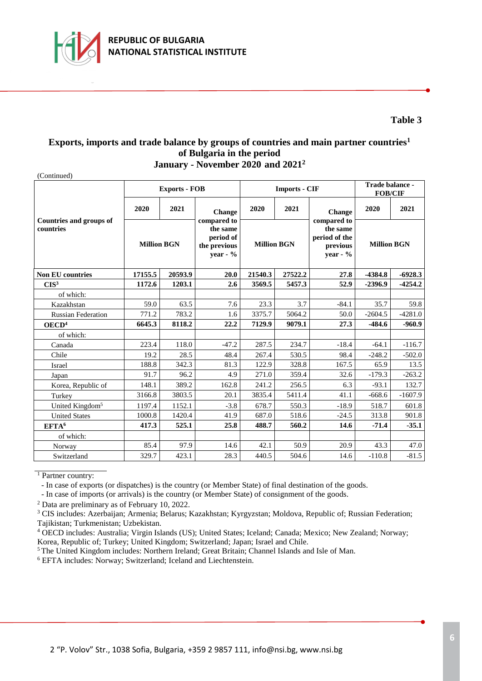

# **Table 3**

### **Exports, imports and trade balance by groups of countries and main partner countries<sup>1</sup> of Bulgaria in the period January - November 2020 and 2021<sup>2</sup>**

(Continued)

|                                             |                    | <b>Exports - FOB</b> |                                                                     |                    | <b>Imports - CIF</b> | Trade balance -<br><b>FOB/CIF</b>                                  |                    |           |
|---------------------------------------------|--------------------|----------------------|---------------------------------------------------------------------|--------------------|----------------------|--------------------------------------------------------------------|--------------------|-----------|
| <b>Countries and groups of</b><br>countries | 2020               | 2021                 | Change                                                              | 2020               | 2021                 | Change                                                             | 2020               | 2021      |
|                                             | <b>Million BGN</b> |                      | compared to<br>the same<br>period of<br>the previous<br>year - $\%$ | <b>Million BGN</b> |                      | compared to<br>the same<br>period of the<br>previous<br>year - $%$ | <b>Million BGN</b> |           |
| <b>Non EU countries</b>                     | 17155.5            | 20593.9              | 20.0                                                                | 21540.3            | 27522.2              | 27.8                                                               | $-4384.8$          | $-6928.3$ |
| CIS <sup>3</sup>                            | 1172.6             | 1203.1               | 2.6                                                                 | 3569.5             | 5457.3               | 52.9                                                               | $-2396.9$          | $-4254.2$ |
| of which:                                   |                    |                      |                                                                     |                    |                      |                                                                    |                    |           |
| Kazakhstan                                  | 59.0               | 63.5                 | 7.6                                                                 | 23.3               | 3.7                  | $-84.1$                                                            | 35.7               | 59.8      |
| <b>Russian Federation</b>                   | 771.2              | 783.2                | 1.6                                                                 | 3375.7             | 5064.2               | 50.0                                                               | $-2604.5$          | $-4281.0$ |
| OECD <sup>4</sup>                           | 6645.3             | 8118.2               | 22.2                                                                | 7129.9             | 9079.1               | 27.3                                                               | $-484.6$           | $-960.9$  |
| of which:                                   |                    |                      |                                                                     |                    |                      |                                                                    |                    |           |
| Canada                                      | 223.4              | 118.0                | $-47.2$                                                             | 287.5              | 234.7                | $-18.4$                                                            | $-64.1$            | $-116.7$  |
| Chile                                       | 19.2               | 28.5                 | 48.4                                                                | 267.4              | 530.5                | 98.4                                                               | $-248.2$           | $-502.0$  |
| Israel                                      | 188.8              | 342.3                | 81.3                                                                | 122.9              | 328.8                | 167.5                                                              | 65.9               | 13.5      |
| Japan                                       | 91.7               | 96.2                 | 4.9                                                                 | 271.0              | 359.4                | 32.6                                                               | $-179.3$           | $-263.2$  |
| Korea, Republic of                          | 148.1              | 389.2                | 162.8                                                               | 241.2              | 256.5                | 6.3                                                                | $-93.1$            | 132.7     |
| Turkey                                      | 3166.8             | 3803.5               | 20.1                                                                | 3835.4             | 5411.4               | 41.1                                                               | $-668.6$           | $-1607.9$ |
| United Kingdom <sup>5</sup>                 | 1197.4             | 1152.1               | $-3.8$                                                              | 678.7              | 550.3                | $-18.9$                                                            | 518.7              | 601.8     |
| <b>United States</b>                        | 1000.8             | 1420.4               | 41.9                                                                | 687.0              | 518.6                | $-24.5$                                                            | 313.8              | 901.8     |
| EFTA <sup>6</sup>                           | 417.3              | 525.1                | 25.8                                                                | 488.7              | 560.2                | 14.6                                                               | $-71.4$            | $-35.1$   |
| of which:                                   |                    |                      |                                                                     |                    |                      |                                                                    |                    |           |
| Norway                                      | 85.4               | 97.9                 | 14.6                                                                | 42.1               | 50.9                 | 20.9                                                               | 43.3               | 47.0      |
| Switzerland                                 | 329.7              | 423.1                | 28.3                                                                | 440.5              | 504.6                | 14.6                                                               | $-110.8$           | $-81.5$   |

<sup>1</sup> Partner country:

- In case of exports (or dispatches) is the country (or Member State) of final destination of the goods.

- In case of imports (or arrivals) is the country (or Member State) of consignment of the goods.

<sup>2</sup> Data are preliminary as of February 10, 2022.

<sup>3</sup> CIS includes: Azerbaijan; Armenia; Belarus; Kazakhstan; Kyrgyzstan; Moldova, Republic of; Russian Federation; Tajikistan; Turkmenistan; Uzbekistan.

<sup>4</sup> OECD includes: Australia; Virgin Islands (US); United States; Iceland; Canada; Mexico; New Zealand; Norway; Korea, Republic of; Turkey; United Kingdom; Switzerland; Japan; Israel and Chile.

<sup>5</sup>The United Kingdom includes: Northern Ireland; Great Britain; Channel Islands and Isle of Man.

<sup>6</sup> EFTA includes: Norway; Switzerland; Iceland and Liechtenstein.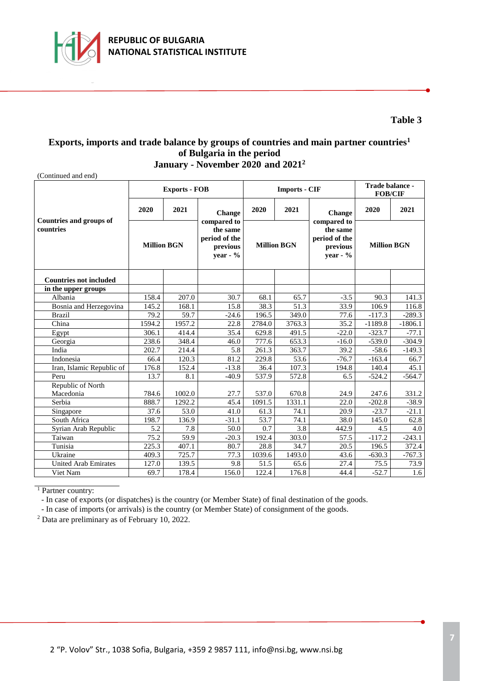

# **Table 3**

### **Exports, imports and trade balance by groups of countries and main partner countries<sup>1</sup> of Bulgaria in the period January - November 2020 and 2021<sup>2</sup>**

(Continued and end)

|                                      |                    | <b>Exports - FOB</b> |                                                                     |                    | <b>Imports - CIF</b> | Trade balance -<br><b>FOB/CIF</b>                                   |                    |           |
|--------------------------------------|--------------------|----------------------|---------------------------------------------------------------------|--------------------|----------------------|---------------------------------------------------------------------|--------------------|-----------|
|                                      | 2020               | 2021                 | Change                                                              | 2020               | 2021                 | Change                                                              | 2020               | 2021      |
| Countries and groups of<br>countries | <b>Million BGN</b> |                      | compared to<br>the same<br>period of the<br>previous<br>year - $\%$ | <b>Million BGN</b> |                      | compared to<br>the same<br>period of the<br>previous<br>year - $\%$ | <b>Million BGN</b> |           |
| <b>Countries not included</b>        |                    |                      |                                                                     |                    |                      |                                                                     |                    |           |
| in the upper groups                  |                    |                      |                                                                     |                    |                      |                                                                     |                    |           |
| Albania                              | 158.4              | 207.0                | 30.7                                                                | 68.1               | 65.7                 | $-3.5$                                                              | 90.3               | 141.3     |
| Bosnia and Herzegovina               | 145.2              | 168.1                | 15.8                                                                | 38.3               | 51.3                 | 33.9                                                                | 106.9              | 116.8     |
| <b>Brazil</b>                        | 79.2               | 59.7                 | $-24.6$                                                             | $\overline{196.5}$ | 349.0                | 77.6                                                                | $-117.3$           | $-289.3$  |
| China                                | 1594.2             | 1957.2               | 22.8                                                                | 2784.0             | 3763.3               | 35.2                                                                | $-1189.8$          | $-1806.1$ |
| Egypt                                | 306.1              | 414.4                | 35.4                                                                | 629.8              | 491.5                | $-22.0$                                                             | $-323.7$           | $-77.1$   |
| Georgia                              | 238.6              | 348.4                | 46.0                                                                | 777.6              | 653.3                | $-16.0$                                                             | $-539.0$           | $-304.9$  |
| India                                | 202.7              | 214.4                | 5.8                                                                 | 261.3              | 363.7                | 39.2                                                                | $-58.6$            | $-149.3$  |
| Indonesia                            | 66.4               | 120.3                | 81.2                                                                | 229.8              | 53.6                 | $-76.7$                                                             | $-163.4$           | 66.7      |
| Iran, Islamic Republic of            | 176.8              | 152.4                | $-13.8$                                                             | 36.4               | 107.3                | 194.8                                                               | 140.4              | 45.1      |
| Peru                                 | 13.7               | 8.1                  | $-40.9$                                                             | 537.9              | 572.8                | 6.5                                                                 | $-524.2$           | $-564.7$  |
| Republic of North                    |                    |                      |                                                                     |                    |                      |                                                                     |                    |           |
| Macedonia                            | 784.6              | 1002.0               | 27.7                                                                | 537.0              | 670.8                | 24.9                                                                | 247.6              | 331.2     |
| Serbia                               | 888.7              | 1292.2               | 45.4                                                                | 1091.5             | 1331.1               | 22.0                                                                | $-202.8$           | $-38.9$   |
| Singapore                            | $\overline{37.6}$  | $\overline{53.0}$    | 41.0                                                                | 61.3               | 74.1                 | 20.9                                                                | $-23.7$            | $-21.1$   |
| South Africa                         | 198.7              | 136.9                | $-31.1$                                                             | 53.7               | 74.1                 | 38.0                                                                | 145.0              | 62.8      |
| Syrian Arab Republic                 | 5.2                | 7.8                  | 50.0                                                                | 0.7                | 3.8                  | 442.9                                                               | 4.5                | 4.0       |
| Taiwan                               | 75.2               | 59.9                 | $-20.3$                                                             | 192.4              | 303.0                | 57.5                                                                | $-117.2$           | $-243.1$  |
| Tunisia                              | 225.3<br>407.1     |                      | 80.7                                                                | 28.8               | 34.7                 | 20.5                                                                | 196.5              | 372.4     |
| Ukraine                              | 409.3              | 725.7                | 77.3                                                                | 1039.6             | 1493.0               | 43.6                                                                | $-630.3$           | $-767.3$  |
| <b>United Arab Emirates</b>          | 127.0              | 139.5                | 9.8                                                                 | 51.5               | 65.6                 | 27.4                                                                | 75.5               | 73.9      |
| Viet Nam                             | 69.7               | 178.4                | 156.0                                                               | 122.4              | 176.8                | 44.4                                                                | $-52.7$            | 1.6       |

 $\frac{1}{1}$  Partner country:

- In case of exports (or dispatches) is the country (or Member State) of final destination of the goods.

- In case of imports (or arrivals) is the country (or Member State) of consignment of the goods.

<sup>2</sup> Data are preliminary as of February 10, 2022.